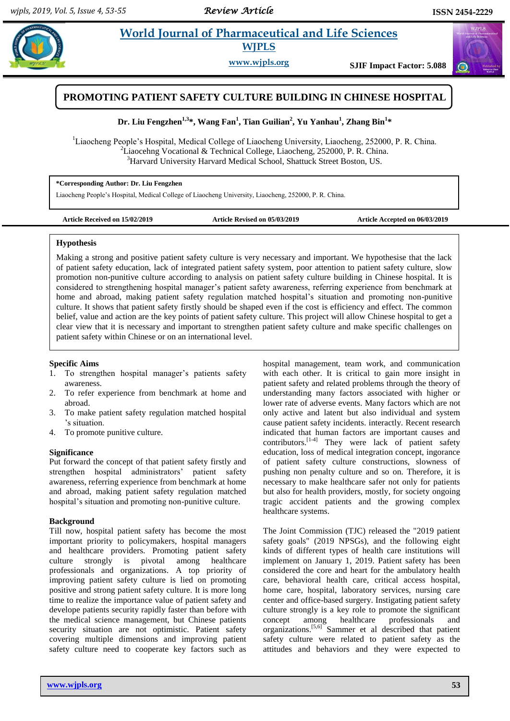$\odot$ 

# **Example 3** *E* **World Journal of Pharmaceutical and Life Sciences WJPLS**

**www.wjpls.org SJIF Impact Factor: 5.088**



**Dr. Liu Fengzhen1,3\*, Wang Fan<sup>1</sup> , Tian Guilian<sup>2</sup> , Yu Yanhau<sup>1</sup> , Zhang Bin<sup>1</sup> \***

<sup>1</sup>Liaocheng People's Hospital, Medical College of Liaocheng University, Liaocheng, 252000, P. R. China. <sup>2</sup>Liaocehng Vocational & Technical College, Liaocheng, 252000, P. R. China. <sup>3</sup>Harvard University Harvard Medical School, Shattuck Street Boston, US.

#### **\*Corresponding Author: Dr. Liu Fengzhen**

Liaocheng People's Hospital, Medical College of Liaocheng University, Liaocheng, 252000, P. R. China.

**Article Received on 15/02/2019 Article Revised on 05/03/2019 Article Accepted on 06/03/2019**

#### **Hypothesis**

Making a strong and positive patient safety culture is very necessary and important. We hypothesise that the lack of patient safety education, lack of integrated patient safety system, poor attention to patient safety culture, slow promotion non-punitive culture according to analysis on patient safety culture building in Chinese hospital. It is considered to strengthening hospital manager's patient safety awareness, referring experience from benchmark at home and abroad, making patient safety regulation matched hospital's situation and promoting non-punitive culture. It shows that patient safety firstly should be shaped even if the cost is efficiency and effect. The common belief, value and action are the key points of patient safety culture. This project will allow Chinese hospital to get a clear view that it is necessary and important to strengthen patient safety culture and make specific challenges on patient safety within Chinese or on an international level.

#### **Specific Aims**

- 1. To strengthen hospital manager's patients safety awareness.
- 2. To refer experience from benchmark at home and abroad.
- 3. To make patient safety regulation matched hospital 's situation.
- 4. To promote punitive culture.

#### **Significance**

Put forward the concept of that patient safety firstly and strengthen hospital administrators' patient safety awareness, referring experience from benchmark at home and abroad, making patient safety regulation matched hospital's situation and promoting non-punitive culture.

#### **Background**

Till now, hospital patient safety has become the most important priority to policymakers, hospital managers and healthcare providers. Promoting patient safety culture strongly is pivotal among healthcare professionals and organizations. A top priority of improving patient safety culture is lied on promoting positive and strong patient safety culture. It is more long time to realize the importance value of patient safety and develope patients security rapidly faster than before with the medical science management, but Chinese patients security situation are not optimistic. Patient safety covering multiple dimensions and improving patient safety culture need to cooperate key factors such as

hospital management, team work, and communication with each other. It is critical to gain more insight in patient safety and related problems through the theory of understanding many factors associated with higher or lower rate of adverse events. Many factors which are not only active and latent but also individual and system cause patient safety incidents. interactly. Recent research indicated that human factors are important causes and contributors.<sup>[1-4]</sup> They were lack of patient safety education, loss of medical integration concept, ingorance of patient safety culture constructions, slowness of pushing non penalty culture and so on. Therefore, it is necessary to make healthcare safer not only for patients but also for health providers, mostly, for society ongoing tragic accident patients and the growing complex healthcare systems.

The Joint Commission (TJC) released the "2019 patient safety goals" (2019 NPSGs), and the following eight kinds of different types of health care institutions will implement on January 1, 2019. Patient safety has been considered the core and heart for the ambulatory health care, behavioral health care, critical access hospital, home care, hospital, laboratory services, nursing care center and office-based surgery. Instigating patient safety culture strongly is a key role to promote the significant concept among healthcare professionals and organizations.<sup>[5,6]</sup> Sammer et al described that patient safety culture were related to patient safety as the attitudes and behaviors and they were expected to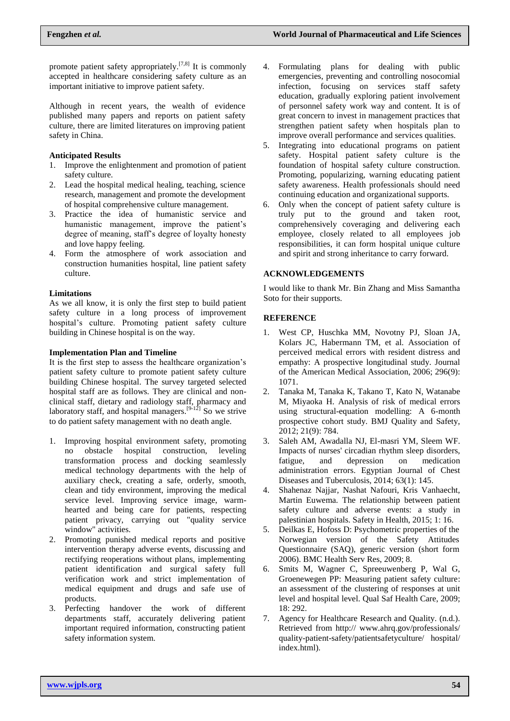promote patient safety appropriately.<sup>[7,8]</sup> It is commonly accepted in healthcare considering safety culture as an important initiative to improve patient safety.

Although in recent years, the wealth of evidence published many papers and reports on patient safety culture, there are limited literatures on improving patient safety in China.

#### **Anticipated Results**

- 1. Improve the enlightenment and promotion of patient safety culture.
- 2. Lead the hospital medical healing, teaching, science research, management and promote the development of hospital comprehensive culture management.
- 3. Practice the idea of humanistic service and humanistic management, improve the patient's degree of meaning, staff's degree of loyalty honesty and love happy feeling.
- 4. Form the atmosphere of work association and construction humanities hospital, line patient safety culture.

### **Limitations**

As we all know, it is only the first step to build patient safety culture in a long process of improvement hospital's culture. Promoting patient safety culture building in Chinese hospital is on the way.

### **Implementation Plan and Timeline**

It is the first step to assess the healthcare organization's patient safety culture to promote patient safety culture building Chinese hospital. The survey targeted selected hospital staff are as follows. They are clinical and nonclinical staff, dietary and radiology staff, pharmacy and laboratory staff, and hospital managers.<sup>[9-12]</sup> So we strive to do patient safety management with no death angle.

- 1. Improving hospital environment safety, promoting no obstacle hospital construction, leveling transformation process and docking seamlessly medical technology departments with the help of auxiliary check, creating a safe, orderly, smooth, clean and tidy environment, improving the medical service level. Improving service image, warmhearted and being care for patients, respecting patient privacy, carrying out "quality service window" activities.
- 2. Promoting punished medical reports and positive intervention therapy adverse events, discussing and rectifying reoperations without plans, implementing patient identification and surgical safety full verification work and strict implementation of medical equipment and drugs and safe use of products.
- 3. Perfecting handover the work of different departments staff, accurately delivering patient important required information, constructing patient safety information system.
- 4. Formulating plans for dealing with public emergencies, preventing and controlling nosocomial infection, focusing on services staff safety education, gradually exploring patient involvement of personnel safety work way and content. It is of great concern to invest in management practices that strengthen patient safety when hospitals plan to improve overall performance and services qualities.
- 5. Integrating into educational programs on patient safety. Hospital patient safety culture is the foundation of hospital safety culture construction. Promoting, [popularizing, w](file:///C:/Documents%20and%20Settings/Administrator/Local%20Settings/Application%20Data/youdao/dict/Application/6.3.69.8341/resultui/frame/javascript:void(0);)arning educating patient safety awareness. Health professionals should need continuing education and organizational supports.
- 6. Only when the concept of patient safety culture is truly put to the ground and taken root, comprehensively coveraging and delivering each employee, closely related to all employees job responsibilities, it can form hospital unique culture and spirit and strong inheritance to carry forward.

## **ACKNOWLEDGEMENTS**

I would like to thank Mr. Bin Zhang and Miss Samantha Soto for their supports.

### **REFERENCE**

- 1. West CP, Huschka MM, Novotny PJ, Sloan JA, Kolars JC, Habermann TM, et al. Association of perceived medical errors with resident distress and empathy: A prospective longitudinal study. Journal of the American Medical Association, 2006; 296(9): 1071.
- 2. Tanaka M, Tanaka K, Takano T, Kato N, Watanabe M, Miyaoka H. Analysis of risk of medical errors using structural-equation modelling: A 6-month prospective cohort study. BMJ Quality and Safety, 2012; 21(9): 784.
- 3. Saleh AM, Awadalla NJ, El-masri YM, Sleem WF. Impacts of nurses' circadian rhythm sleep disorders, fatigue, and depression on medication administration errors. Egyptian Journal of Chest Diseases and Tuberculosis, 2014; 63(1): 145.
- 4. Shahenaz Najjar, Nashat Nafouri, Kris Vanhaecht, Martin Euwema. The relationship between patient safety culture and adverse events: a study in palestinian hospitals. Safety in Health, 2015; 1: 16.
- 5. Deilkas E, Hofoss D: Psychometric properties of the Norwegian version of the Safety Attitudes Questionnaire (SAQ), generic version (short form 2006). BMC Health Serv Res, 2009; 8.
- 6. Smits M, Wagner C, Spreeuwenberg P, Wal G, Groenewegen PP: Measuring patient safety culture: an assessment of the clustering of responses at unit level and hospital level. Qual Saf Health Care, 2009; 18: 292.
- 7. Agency for Healthcare Research and Quality. (n.d.). Retrieved from http:// www.ahrq.gov/professionals/ quality-patient-safety/patientsafetyculture/ hospital/ index.html).